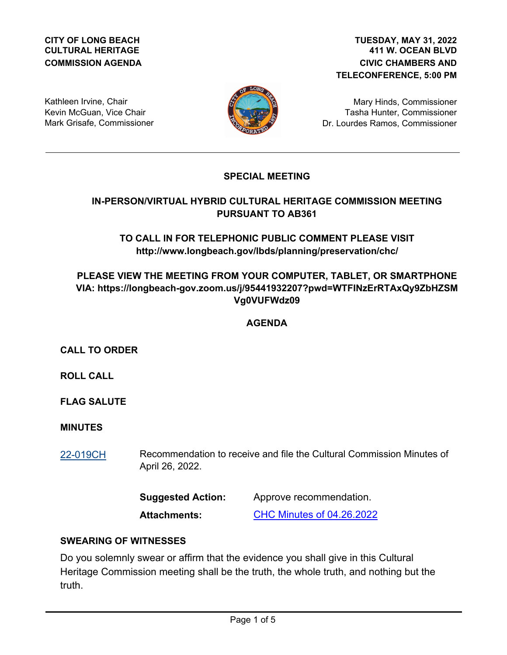#### **CITY OF LONG BEACH CULTURAL HERITAGE COMMISSION AGENDA**

#### **411 W. OCEAN BLVD CIVIC CHAMBERS AND TELECONFERENCE, 5:00 PM TUESDAY, MAY 31, 2022**

Kathleen Irvine, Chair Kevin McGuan, Vice Chair Mark Grisafe, Commissioner



Mary Hinds, Commissioner Tasha Hunter, Commissioner Dr. Lourdes Ramos, Commissioner

## **SPECIAL MEETING**

## **IN-PERSON/VIRTUAL HYBRID CULTURAL HERITAGE COMMISSION MEETING PURSUANT TO AB361**

## **TO CALL IN FOR TELEPHONIC PUBLIC COMMENT PLEASE VISIT http://www.longbeach.gov/lbds/planning/preservation/chc/**

# **PLEASE VIEW THE MEETING FROM YOUR COMPUTER, TABLET, OR SMARTPHONE VIA: https://longbeach-gov.zoom.us/j/95441932207?pwd=WTFINzErRTAxQy9ZbHZSM Vg0VUFWdz09**

# **AGENDA**

## **CALL TO ORDER**

**ROLL CALL**

**FLAG SALUTE**

### **MINUTES**

Recommendation to receive and file the Cultural Commission Minutes of April 26, 2022. [22-019CH](http://longbeach.legistar.com/gateway.aspx?M=L&ID=239479)

| <b>Suggested Action:</b> | Approve recommendation.          |
|--------------------------|----------------------------------|
| <b>Attachments:</b>      | <b>CHC Minutes of 04.26.2022</b> |

### **SWEARING OF WITNESSES**

Do you solemnly swear or affirm that the evidence you shall give in this Cultural Heritage Commission meeting shall be the truth, the whole truth, and nothing but the truth.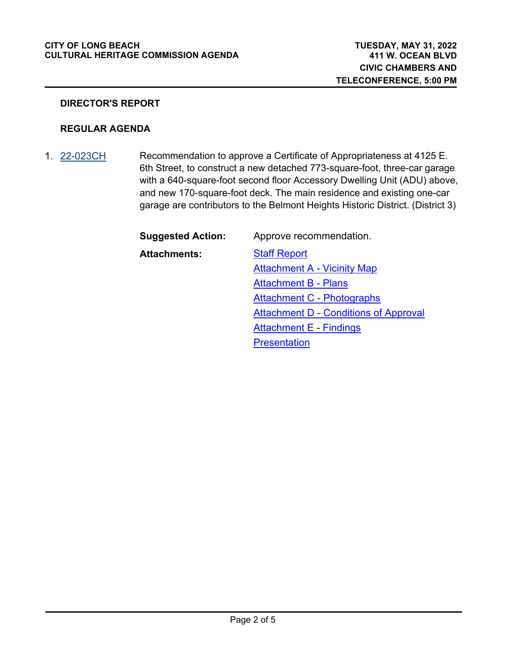#### **CITY OF LONG BEACH CULTURAL HERITAGE COMMISSION AGENDA**

#### **DIRECTOR'S REPORT**

#### **REGULAR AGENDA**

Recommendation to approve a Certificate of Appropriateness at 4125 E. 6th Street, to construct a new detached 773-square-foot, three-car garage with a 640-square-foot second floor Accessory Dwelling Unit (ADU) above, and new 170-square-foot deck. The main residence and existing one-car garage are contributors to the Belmont Heights Historic District. (District 3) 1. [22-023CH](http://longbeach.legistar.com/gateway.aspx?M=L&ID=239483)

| <b>Suggested Action:</b> | Approve recommendation.                      |
|--------------------------|----------------------------------------------|
| <b>Attachments:</b>      | <b>Staff Report</b>                          |
|                          | <b>Attachment A - Vicinity Map</b>           |
|                          | <b>Attachment B - Plans</b>                  |
|                          | <b>Attachment C - Photographs</b>            |
|                          | <b>Attachment D - Conditions of Approval</b> |
|                          | <b>Attachment E - Findings</b>               |

**[Presentation](http://longbeach.legistar.com/gateway.aspx?M=F&ID=edbafc4f-4049-44c8-a23c-04419e6d3630.pdf)**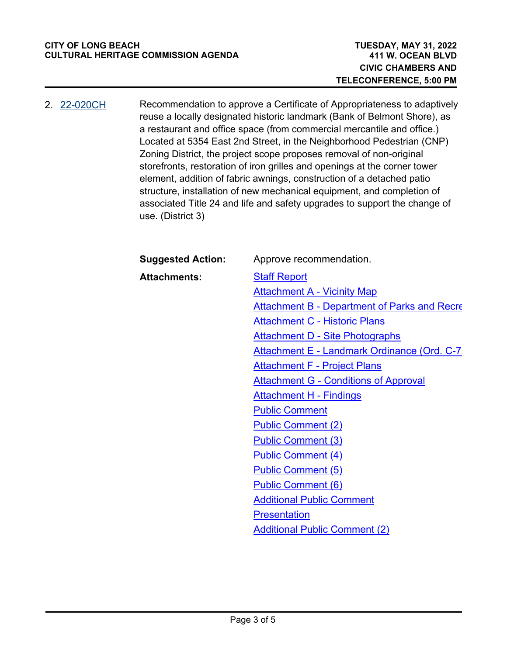Recommendation to approve a Certificate of Appropriateness to adaptively reuse a locally designated historic landmark (Bank of Belmont Shore), as a restaurant and office space (from commercial mercantile and office.) Located at 5354 East 2nd Street, in the Neighborhood Pedestrian (CNP) Zoning District, the project scope proposes removal of non-original storefronts, restoration of iron grilles and openings at the corner tower element, addition of fabric awnings, construction of a detached patio structure, installation of new mechanical equipment, and completion of associated Title 24 and life and safety upgrades to support the change of use. (District 3) 2. [22-020CH](http://longbeach.legistar.com/gateway.aspx?M=L&ID=239480)

| <b>Suggested Action:</b> | Approve recommendation.                             |
|--------------------------|-----------------------------------------------------|
| <b>Attachments:</b>      | <b>Staff Report</b>                                 |
|                          | <b>Attachment A - Vicinity Map</b>                  |
|                          | <b>Attachment B - Department of Parks and Recre</b> |
|                          | <b>Attachment C - Historic Plans</b>                |
|                          | <b>Attachment D - Site Photographs</b>              |
|                          | Attachment E - Landmark Ordinance (Ord. C-7         |
|                          | <b>Attachment F - Project Plans</b>                 |
|                          | <b>Attachment G - Conditions of Approval</b>        |
|                          | <b>Attachment H - Findings</b>                      |
|                          | <b>Public Comment</b>                               |
|                          | <b>Public Comment (2)</b>                           |
|                          | <b>Public Comment (3)</b>                           |
|                          | <b>Public Comment (4)</b>                           |
|                          | <b>Public Comment (5)</b>                           |
|                          | <b>Public Comment (6)</b>                           |
|                          | <b>Additional Public Comment</b>                    |
|                          | <b>Presentation</b>                                 |
|                          | <b>Additional Public Comment (2)</b>                |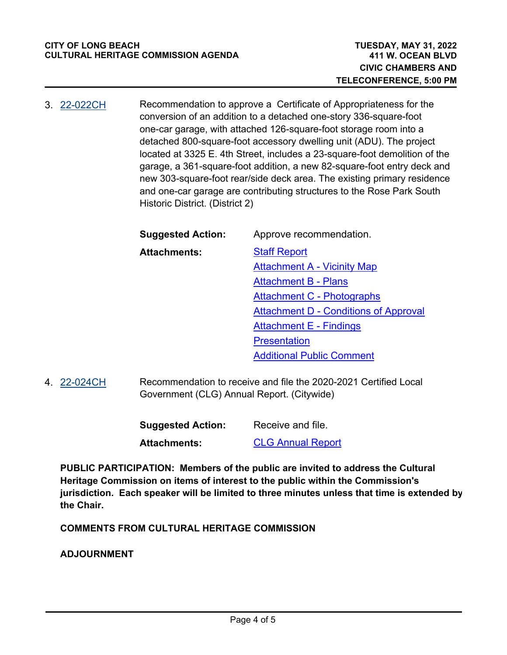Recommendation to approve a Certificate of Appropriateness for the conversion of an addition to a detached one-story 336-square-foot one-car garage, with attached 126-square-foot storage room into a detached 800-square-foot accessory dwelling unit (ADU). The project located at 3325 E. 4th Street, includes a 23-square-foot demolition of the garage, a 361-square-foot addition, a new 82-square-foot entry deck and new 303-square-foot rear/side deck area. The existing primary residence and one-car garage are contributing structures to the Rose Park South Historic District. (District 2) 3. [22-022CH](http://longbeach.legistar.com/gateway.aspx?M=L&ID=239482)

| <b>Suggested Action:</b> | Approve recommendation.                      |
|--------------------------|----------------------------------------------|
| <b>Attachments:</b>      | <b>Staff Report</b>                          |
|                          | <b>Attachment A - Vicinity Map</b>           |
|                          | <b>Attachment B - Plans</b>                  |
|                          | <b>Attachment C - Photographs</b>            |
|                          | <b>Attachment D - Conditions of Approval</b> |
|                          | <b>Attachment E - Findings</b>               |
|                          | <b>Presentation</b>                          |
|                          | <b>Additional Public Comment</b>             |

Recommendation to receive and file the 2020-2021 Certified Local Government (CLG) Annual Report. (Citywide) 4. [22-024CH](http://longbeach.legistar.com/gateway.aspx?M=L&ID=239484)

| <b>Suggested Action:</b> | Receive and file.        |
|--------------------------|--------------------------|
| Attachments:             | <b>CLG Annual Report</b> |

**PUBLIC PARTICIPATION: Members of the public are invited to address the Cultural Heritage Commission on items of interest to the public within the Commission's jurisdiction. Each speaker will be limited to three minutes unless that time is extended by the Chair.**

**COMMENTS FROM CULTURAL HERITAGE COMMISSION**

**ADJOURNMENT**